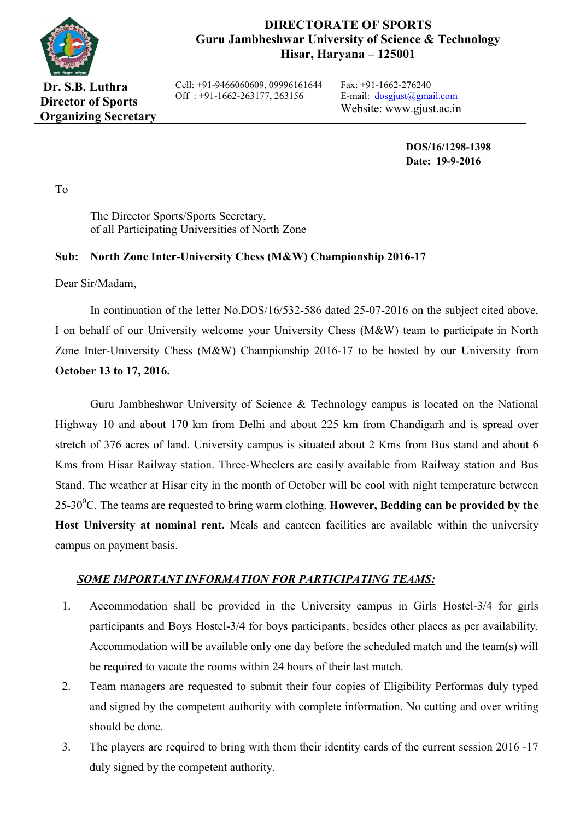

### **DIRECTORATE OF SPORTS Guru Jambheshwar University of Science & Technology Hisar, Haryana – 125001**

**Dr. S.B. Luthra Director of Sports Organizing Secretary** Cell: +91-9466060609, 09996161644 Off : +91-1662-263177, 263156

Fax: +91-1662-276240 E-mail:  $d$ osgjust@gmail.com Website: www.gjust.ac.in

> **DOS/16/1298-1398 Date: 19-9-2016**

To

The Director Sports/Sports Secretary, of all Participating Universities of North Zone

#### **Sub: North Zone Inter-University Chess (M&W) Championship 2016-17**

Dear Sir/Madam,

In continuation of the letter No.DOS/16/532-586 dated 25-07-2016 on the subject cited above, I on behalf of our University welcome your University Chess (M&W) team to participate in North Zone Inter-University Chess (M&W) Championship 2016-17 to be hosted by our University from **October 13 to 17, 2016.**

Guru Jambheshwar University of Science & Technology campus is located on the National Highway 10 and about 170 km from Delhi and about 225 km from Chandigarh and is spread over stretch of 376 acres of land. University campus is situated about 2 Kms from Bus stand and about 6 Kms from Hisar Railway station. Three-Wheelers are easily available from Railway station and Bus Stand. The weather at Hisar city in the month of October will be cool with night temperature between  $25\text{-}30^0$ C. The teams are requested to bring warm clothing. **However, Bedding can be provided by the Host University at nominal rent.** Meals and canteen facilities are available within the university campus on payment basis.

#### *SOME IMPORTANT INFORMATION FOR PARTICIPATING TEAMS:*

- 1. Accommodation shall be provided in the University campus in Girls Hostel-3/4 for girls participants and Boys Hostel-3/4 for boys participants, besides other places as per availability. Accommodation will be available only one day before the scheduled match and the team(s) will be required to vacate the rooms within 24 hours of their last match.
- 2. Team managers are requested to submit their four copies of Eligibility Performas duly typed and signed by the competent authority with complete information. No cutting and over writing should be done.
- 3. The players are required to bring with them their identity cards of the current session 2016 -17 duly signed by the competent authority.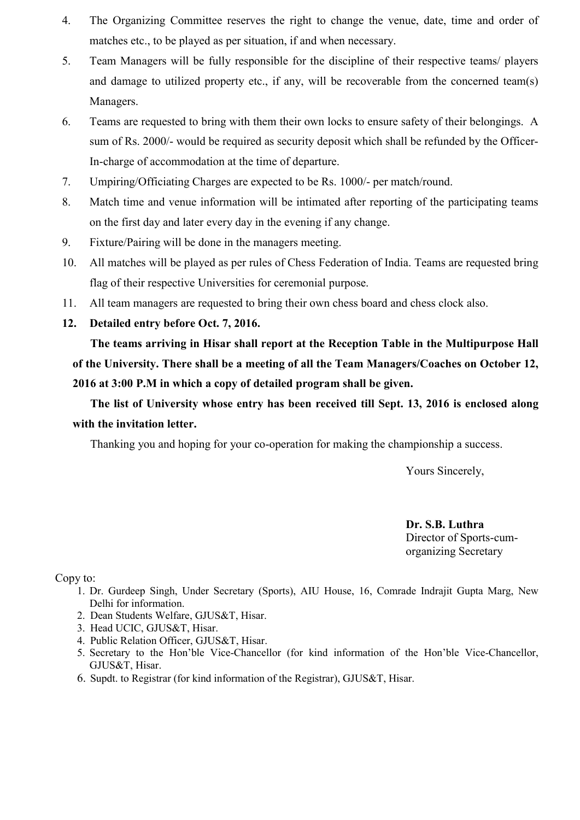- 4. The Organizing Committee reserves the right to change the venue, date, time and order of matches etc., to be played as per situation, if and when necessary.
- 5. Team Managers will be fully responsible for the discipline of their respective teams/ players and damage to utilized property etc., if any, will be recoverable from the concerned team(s) Managers.
- 6. Teams are requested to bring with them their own locks to ensure safety of their belongings. A sum of Rs. 2000/- would be required as security deposit which shall be refunded by the Officer-In-charge of accommodation at the time of departure.
- 7. Umpiring/Officiating Charges are expected to be Rs. 1000/- per match/round.
- 8. Match time and venue information will be intimated after reporting of the participating teams on the first day and later every day in the evening if any change.
- 9. Fixture/Pairing will be done in the managers meeting.
- 10. All matches will be played as per rules of Chess Federation of India. Teams are requested bring flag of their respective Universities for ceremonial purpose.
- 11. All team managers are requested to bring their own chess board and chess clock also.
- **12. Detailed entry before Oct. 7, 2016.**

**The teams arriving in Hisar shall report at the Reception Table in the Multipurpose Hall of the University. There shall be a meeting of all the Team Managers/Coaches on October 12, 2016 at 3:00 P.M in which a copy of detailed program shall be given.** 

**The list of University whose entry has been received till Sept. 13, 2016 is enclosed along with the invitation letter.**

Thanking you and hoping for your co-operation for making the championship a success.

Yours Sincerely,

 **Dr. S.B. Luthra** Director of Sports-cumorganizing Secretary

Copy to:

- 1. Dr. Gurdeep Singh, Under Secretary (Sports), AIU House, 16, Comrade Indrajit Gupta Marg, New Delhi for information.
- 2. Dean Students Welfare, GJUS&T, Hisar.
- 3. Head UCIC, GJUS&T, Hisar.
- 4. Public Relation Officer, GJUS&T, Hisar.
- 5. Secretary to the Hon'ble Vice-Chancellor (for kind information of the Hon'ble Vice-Chancellor, GJUS&T, Hisar.
- 6. Supdt. to Registrar (for kind information of the Registrar), GJUS&T, Hisar.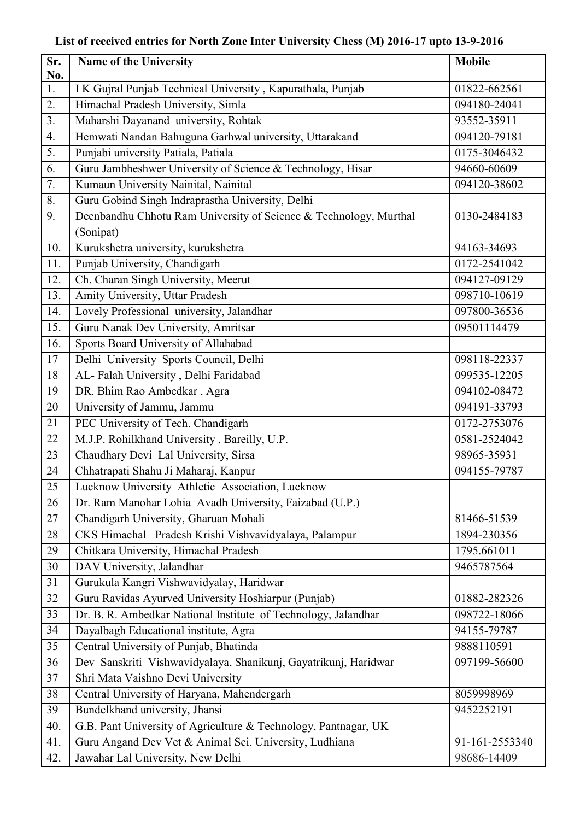## **List of received entries for North Zone Inter University Chess (M) 2016-17 upto 13-9-2016**

| Sr. | Name of the University                                                         | <b>Mobile</b>  |
|-----|--------------------------------------------------------------------------------|----------------|
| No. |                                                                                |                |
| 1.  | I K Gujral Punjab Technical University, Kapurathala, Punjab                    | 01822-662561   |
| 2.  | Himachal Pradesh University, Simla                                             | 094180-24041   |
| 3.  | Maharshi Dayanand university, Rohtak                                           | 93552-35911    |
| 4.  | Hemwati Nandan Bahuguna Garhwal university, Uttarakand                         | 094120-79181   |
| 5.  | Punjabi university Patiala, Patiala                                            | 0175-3046432   |
| 6.  | Guru Jambheshwer University of Science & Technology, Hisar                     | 94660-60609    |
| 7.  | Kumaun University Nainital, Nainital                                           | 094120-38602   |
| 8.  | Guru Gobind Singh Indraprastha University, Delhi                               |                |
| 9.  | Deenbandhu Chhotu Ram University of Science & Technology, Murthal<br>(Sonipat) | 0130-2484183   |
| 10. | Kurukshetra university, kurukshetra                                            | 94163-34693    |
| 11. | Punjab University, Chandigarh                                                  | 0172-2541042   |
| 12. | Ch. Charan Singh University, Meerut                                            | 094127-09129   |
| 13. | Amity University, Uttar Pradesh                                                | 098710-10619   |
| 14. | Lovely Professional university, Jalandhar                                      | 097800-36536   |
| 15. | Guru Nanak Dev University, Amritsar                                            | 09501114479    |
| 16. | Sports Board University of Allahabad                                           |                |
| 17  | Delhi University Sports Council, Delhi                                         | 098118-22337   |
| 18  | AL-Falah University, Delhi Faridabad                                           | 099535-12205   |
| 19  | DR. Bhim Rao Ambedkar, Agra                                                    | 094102-08472   |
| 20  | University of Jammu, Jammu                                                     | 094191-33793   |
| 21  | PEC University of Tech. Chandigarh                                             | 0172-2753076   |
| 22  | M.J.P. Rohilkhand University, Bareilly, U.P.                                   | 0581-2524042   |
| 23  | Chaudhary Devi Lal University, Sirsa                                           | 98965-35931    |
| 24  | Chhatrapati Shahu Ji Maharaj, Kanpur                                           | 094155-79787   |
| 25  | Lucknow University Athletic Association, Lucknow                               |                |
| 26  | Dr. Ram Manohar Lohia Avadh University, Faizabad (U.P.)                        |                |
| 27  | Chandigarh University, Gharuan Mohali                                          | 81466-51539    |
| 28  | CKS Himachal Pradesh Krishi Vishvavidyalaya, Palampur                          | 1894-230356    |
| 29  | Chitkara University, Himachal Pradesh                                          | 1795.661011    |
| 30  | DAV University, Jalandhar                                                      | 9465787564     |
| 31  | Gurukula Kangri Vishwavidyalay, Haridwar                                       |                |
| 32  | Guru Ravidas Ayurved University Hoshiarpur (Punjab)                            | 01882-282326   |
| 33  | Dr. B. R. Ambedkar National Institute of Technology, Jalandhar                 | 098722-18066   |
| 34  | Dayalbagh Educational institute, Agra                                          | 94155-79787    |
| 35  | Central University of Punjab, Bhatinda                                         | 9888110591     |
| 36  | Dev Sanskriti Vishwavidyalaya, Shanikunj, Gayatrikunj, Haridwar                | 097199-56600   |
| 37  | Shri Mata Vaishno Devi University                                              |                |
| 38  | Central University of Haryana, Mahendergarh                                    | 8059998969     |
| 39  | Bundelkhand university, Jhansi                                                 | 9452252191     |
| 40. | G.B. Pant University of Agriculture & Technology, Pantnagar, UK                |                |
| 41. | Guru Angand Dev Vet & Animal Sci. University, Ludhiana                         | 91-161-2553340 |
| 42. | Jawahar Lal University, New Delhi                                              | 98686-14409    |